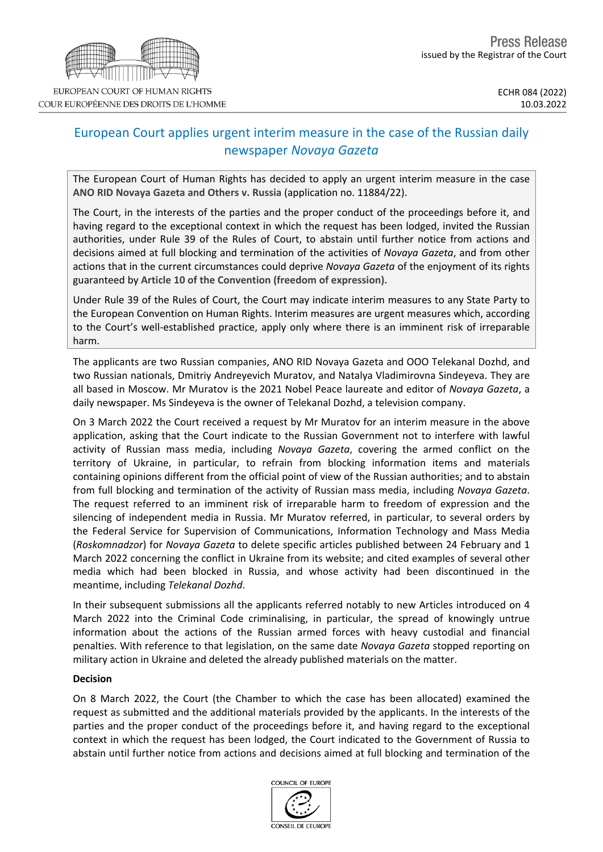

## European Court applies urgent interim measure in the case of the Russian daily newspaper *Novaya Gazeta*

The European Court of Human Rights has decided to apply an urgent interim measure in the case **ANO RID Novaya Gazeta and Others v. Russia** (application no. 11884/22).

The Court, in the interests of the parties and the proper conduct of the proceedings before it, and having regard to the exceptional context in which the request has been lodged, invited the Russian authorities, under Rule 39 of the Rules of Court, to abstain until further notice from actions and decisions aimed at full blocking and termination of the activities of *Novaya Gazeta*, and from other actions that in the current circumstances could deprive *Novaya Gazeta* of the enjoyment of its rights guaranteed by **Article 10 of the Convention (freedom of expression).**

Under Rule 39 of the Rules of Court, the Court may indicate interim measures to any State Party to the European Convention on Human Rights. Interim measures are urgent measures which, according to the Court's well-established practice, apply only where there is an imminent risk of irreparable harm.

The applicants are two Russian companies, ANO RID Novaya Gazeta and OOO Telekanal Dozhd, and two Russian nationals, Dmitriy Andreyevich Muratov, and Natalya Vladimirovna Sindeyeva. They are all based in Moscow. Mr Muratov is the 2021 Nobel Peace laureate and editor of *Novaya Gazeta*, a daily newspaper. Ms Sindeyeva is the owner of Telekanal Dozhd, a television company.

On 3 March 2022 the Court received a request by Mr Muratov for an interim measure in the above application, asking that the Court indicate to the Russian Government not to interfere with lawful activity of Russian mass media, including *Novaya Gazeta*, covering the armed conflict on the territory of Ukraine, in particular, to refrain from blocking information items and materials containing opinions different from the official point of view of the Russian authorities; and to abstain from full blocking and termination of the activity of Russian mass media, including *Novaya Gazeta*. The request referred to an imminent risk of irreparable harm to freedom of expression and the silencing of independent media in Russia. Mr Muratov referred, in particular, to several orders by the Federal Service for Supervision of Communications, Information Technology and Mass Media (*Roskomnadzor*) for *Novaya Gazeta* to delete specific articles published between 24 February and 1 March 2022 concerning the conflict in Ukraine from its website; and cited examples of several other media which had been blocked in Russia, and whose activity had been discontinued in the meantime, including *Telekanal Dozhd*.

In their subsequent submissions all the applicants referred notably to new Articles introduced on 4 March 2022 into the Criminal Code criminalising, in particular, the spread of knowingly untrue information about the actions of the Russian armed forces with heavy custodial and financial penalties. With reference to that legislation, on the same date *Novaya Gazeta* stopped reporting on military action in Ukraine and deleted the already published materials on the matter.

## **Decision**

On 8 March 2022, the Court (the Chamber to which the case has been allocated) examined the request as submitted and the additional materials provided by the applicants. In the interests of the parties and the proper conduct of the proceedings before it, and having regard to the exceptional context in which the request has been lodged, the Court indicated to the Government of Russia to abstain until further notice from actions and decisions aimed at full blocking and termination of the